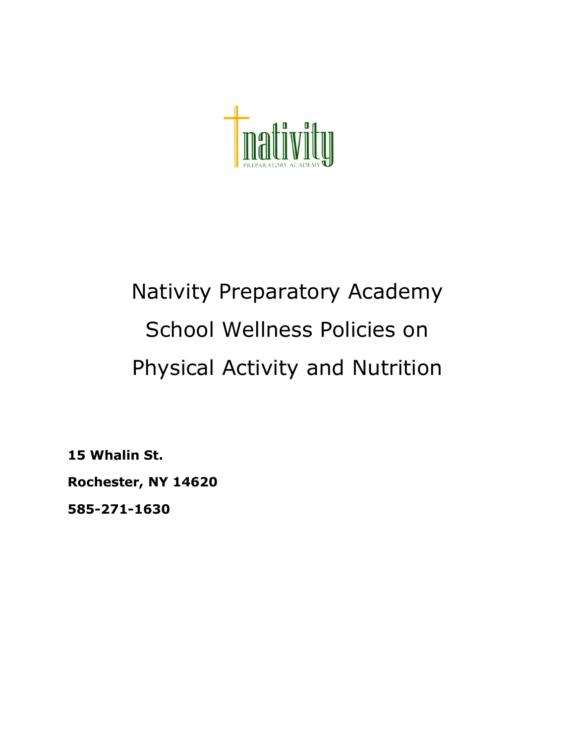

# Nativity Preparatory Academy School Wellness Policies on Physical Activity and Nutrition

**15 Whalin St.**

**Rochester, NY 14620**

**585-271-1630**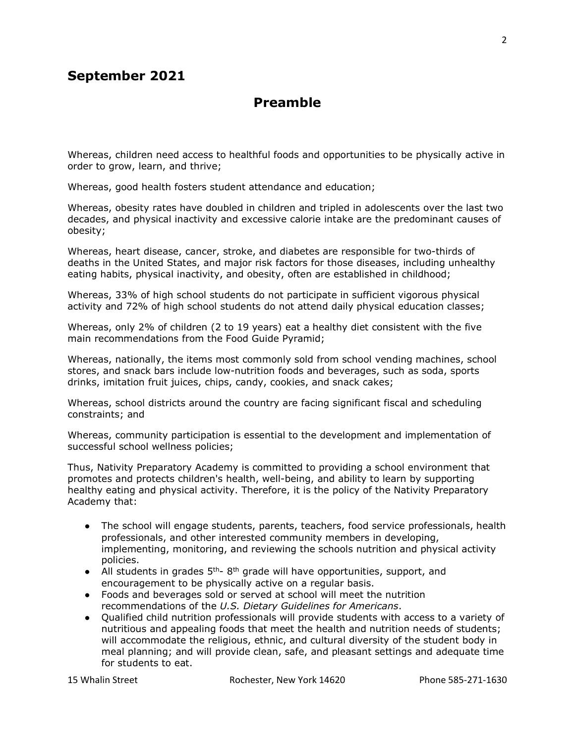## **September 2021**

### **Preamble**

Whereas, children need access to healthful foods and opportunities to be physically active in order to grow, learn, and thrive;

Whereas, good health fosters student attendance and education;

Whereas, obesity rates have doubled in children and tripled in adolescents over the last two decades, and physical inactivity and excessive calorie intake are the predominant causes of obesity;

Whereas, heart disease, cancer, stroke, and diabetes are responsible for two-thirds of deaths in the United States, and major risk factors for those diseases, including unhealthy eating habits, physical inactivity, and obesity, often are established in childhood;

Whereas, 33% of high school students do not participate in sufficient vigorous physical activity and 72% of high school students do not attend daily physical education classes;

Whereas, only 2% of children (2 to 19 years) eat a healthy diet consistent with the five main recommendations from the Food Guide Pyramid;

Whereas, nationally, the items most commonly sold from school vending machines, school stores, and snack bars include low-nutrition foods and beverages, such as soda, sports drinks, imitation fruit juices, chips, candy, cookies, and snack cakes;

Whereas, school districts around the country are facing significant fiscal and scheduling constraints; and

Whereas, community participation is essential to the development and implementation of successful school wellness policies;

Thus, Nativity Preparatory Academy is committed to providing a school environment that promotes and protects children's health, well-being, and ability to learn by supporting healthy eating and physical activity. Therefore, it is the policy of the Nativity Preparatory Academy that:

- The school will engage students, parents, teachers, food service professionals, health professionals, and other interested community members in developing, implementing, monitoring, and reviewing the schools nutrition and physical activity policies.
- All students in grades  $5<sup>th</sup>$  8<sup>th</sup> grade will have opportunities, support, and encouragement to be physically active on a regular basis.
- Foods and beverages sold or served at school will meet the nutrition recommendations of the *U.S. Dietary Guidelines for Americans*.
- Qualified child nutrition professionals will provide students with access to a variety of nutritious and appealing foods that meet the health and nutrition needs of students; will accommodate the religious, ethnic, and cultural diversity of the student body in meal planning; and will provide clean, safe, and pleasant settings and adequate time for students to eat.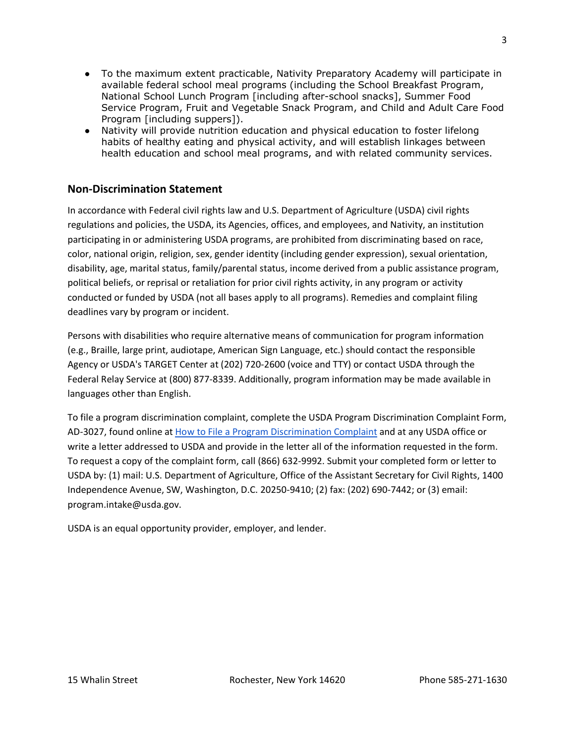- To the maximum extent practicable, Nativity Preparatory Academy will participate in available federal school meal programs (including the School Breakfast Program, National School Lunch Program [including after-school snacks], Summer Food Service Program, Fruit and Vegetable Snack Program, and Child and Adult Care Food Program [including suppers]).
- Nativity will provide nutrition education and physical education to foster lifelong habits of healthy eating and physical activity, and will establish linkages between health education and school meal programs, and with related community services.

#### **Non-Discrimination Statement**

In accordance with Federal civil rights law and U.S. Department of Agriculture (USDA) civil rights regulations and policies, the USDA, its Agencies, offices, and employees, and Nativity, an institution participating in or administering USDA programs, are prohibited from discriminating based on race, color, national origin, religion, sex, gender identity (including gender expression), sexual orientation, disability, age, marital status, family/parental status, income derived from a public assistance program, political beliefs, or reprisal or retaliation for prior civil rights activity, in any program or activity conducted or funded by USDA (not all bases apply to all programs). Remedies and complaint filing deadlines vary by program or incident.

Persons with disabilities who require alternative means of communication for program information (e.g., Braille, large print, audiotape, American Sign Language, etc.) should contact the responsible Agency or USDA's TARGET Center at (202) 720-2600 (voice and TTY) or contact USDA through the Federal Relay Service at (800) 877-8339. Additionally, program information may be made available in languages other than English.

To file a program discrimination complaint, complete the USDA Program Discrimination Complaint Form, AD-3027, found online at [How to File a Program Discrimination Complaint](https://www.usda.gov/oascr/how-to-file-a-program-discrimination-complaint) and at any USDA office or write a letter addressed to USDA and provide in the letter all of the information requested in the form. To request a copy of the complaint form, call (866) 632-9992. Submit your completed form or letter to USDA by: (1) mail: U.S. Department of Agriculture, Office of the Assistant Secretary for Civil Rights, 1400 Independence Avenue, SW, Washington, D.C. 20250-9410; (2) fax: (202) 690-7442; or (3) email: program.intake@usda.gov.

USDA is an equal opportunity provider, employer, and lender.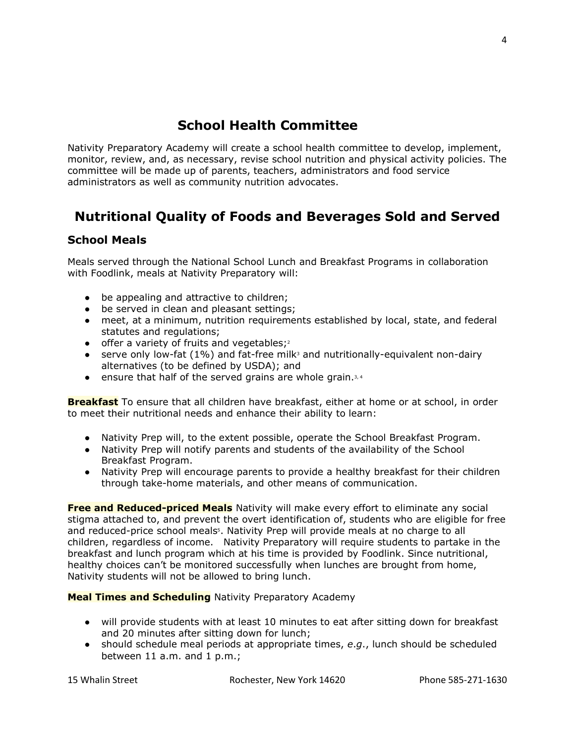# **School Health Committee**

Nativity Preparatory Academy will create a school health committee to develop, implement, monitor, review, and, as necessary, revise school nutrition and physical activity policies. The committee will be made up of parents, teachers, administrators and food service administrators as well as community nutrition advocates.

# **Nutritional Quality of Foods and Beverages Sold and Served**

#### **School Meals**

Meals served through the National School Lunch and Breakfast Programs in collaboration with Foodlink, meals at Nativity Preparatory will:

- be appealing and attractive to children;
- be served in clean and pleasant settings;
- meet, at a minimum, nutrition requirements established by local, state, and federal statutes and regulations;
- $\bullet$  offer a variety of fruits and vegetables;<sup>2</sup>
- serve only low-fat  $(1%)$  and fat-free milk<sup>3</sup> and nutritionally-equivalent non-dairy alternatives (to be defined by USDA); and
- $\bullet$  ensure that half of the served grains are whole grain.<sup>3,4</sup>

**Breakfast** To ensure that all children have breakfast, either at home or at school, in order to meet their nutritional needs and enhance their ability to learn:

- Nativity Prep will, to the extent possible, operate the School Breakfast Program.
- Nativity Prep will notify parents and students of the availability of the School Breakfast Program.
- Nativity Prep will encourage parents to provide a healthy breakfast for their children through take-home materials, and other means of communication.

**Free and Reduced-priced Meals** Nativity will make every effort to eliminate any social stigma attached to, and prevent the overt identification of, students who are eligible for free and reduced-price school meals5. Nativity Prep will provide meals at no charge to all children, regardless of income. Nativity Preparatory will require students to partake in the breakfast and lunch program which at his time is provided by Foodlink. Since nutritional, healthy choices can't be monitored successfully when lunches are brought from home, Nativity students will not be allowed to bring lunch.

#### **Meal Times and Scheduling** Nativity Preparatory Academy

- will provide students with at least 10 minutes to eat after sitting down for breakfast and 20 minutes after sitting down for lunch;
- should schedule meal periods at appropriate times, *e*.*g*., lunch should be scheduled between 11 a.m. and 1 p.m.;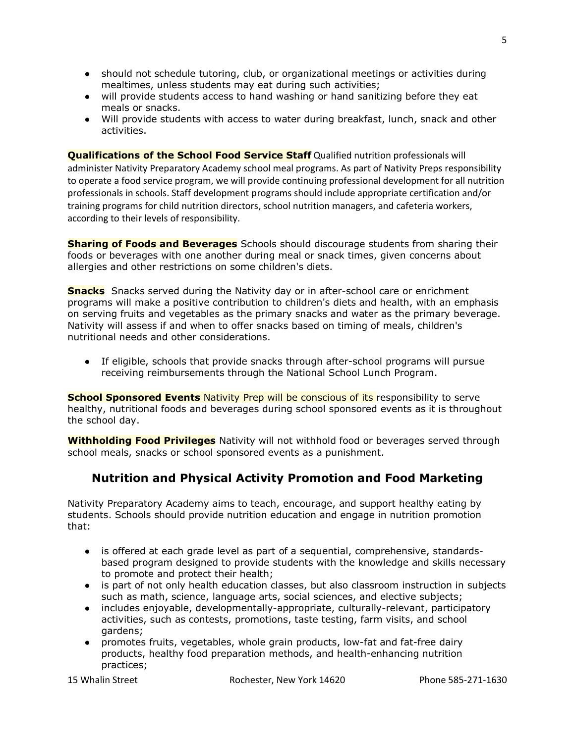- should not schedule tutoring, club, or organizational meetings or activities during mealtimes, unless students may eat during such activities;
- will provide students access to hand washing or hand sanitizing before they eat meals or snacks.
- Will provide students with access to water during breakfast, lunch, snack and other activities.

**Qualifications of the School Food Service Staff** Qualified nutrition professionals will administer Nativity Preparatory Academy school meal programs. As part of Nativity Preps responsibility to operate a food service program, we will provide continuing professional development for all nutrition professionals in schools. Staff development programs should include appropriate certification and/or training programs for child nutrition directors, school nutrition managers, and cafeteria workers, according to their levels of responsibility.

**Sharing of Foods and Beverages** Schools should discourage students from sharing their foods or beverages with one another during meal or snack times, given concerns about allergies and other restrictions on some children's diets.

**Snacks** Snacks served during the Nativity day or in after-school care or enrichment programs will make a positive contribution to children's diets and health, with an emphasis on serving fruits and vegetables as the primary snacks and water as the primary beverage. Nativity will assess if and when to offer snacks based on timing of meals, children's nutritional needs and other considerations.

● If eligible, schools that provide snacks through after-school programs will pursue receiving reimbursements through the National School Lunch Program.

**School Sponsored Events** Nativity Prep will be conscious of its responsibility to serve healthy, nutritional foods and beverages during school sponsored events as it is throughout the school day.

**Withholding Food Privileges** Nativity will not withhold food or beverages served through school meals, snacks or school sponsored events as a punishment.

## **Nutrition and Physical Activity Promotion and Food Marketing**

Nativity Preparatory Academy aims to teach, encourage, and support healthy eating by students. Schools should provide nutrition education and engage in nutrition promotion that:

- is offered at each grade level as part of a sequential, comprehensive, standardsbased program designed to provide students with the knowledge and skills necessary to promote and protect their health;
- is part of not only health education classes, but also classroom instruction in subjects such as math, science, language arts, social sciences, and elective subjects;
- includes enjoyable, developmentally-appropriate, culturally-relevant, participatory activities, such as contests, promotions, taste testing, farm visits, and school gardens;
- promotes fruits, vegetables, whole grain products, low-fat and fat-free dairy products, healthy food preparation methods, and health-enhancing nutrition practices;

5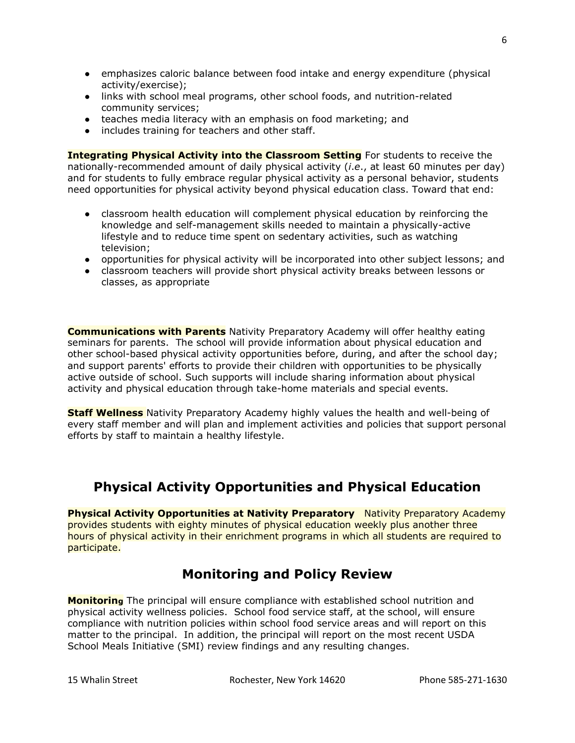- emphasizes caloric balance between food intake and energy expenditure (physical activity/exercise);
- links with school meal programs, other school foods, and nutrition-related community services;
- teaches media literacy with an emphasis on food marketing; and
- includes training for teachers and other staff.

**Integrating Physical Activity into the Classroom Setting** For students to receive the nationally-recommended amount of daily physical activity (*i*.*e*., at least 60 minutes per day) and for students to fully embrace regular physical activity as a personal behavior, students need opportunities for physical activity beyond physical education class. Toward that end:

- classroom health education will complement physical education by reinforcing the knowledge and self-management skills needed to maintain a physically-active lifestyle and to reduce time spent on sedentary activities, such as watching television;
- opportunities for physical activity will be incorporated into other subject lessons; and
- classroom teachers will provide short physical activity breaks between lessons or classes, as appropriate

**Communications with Parents** Nativity Preparatory Academy will offer healthy eating seminars for parents. The school will provide information about physical education and other school-based physical activity opportunities before, during, and after the school day; and support parents' efforts to provide their children with opportunities to be physically active outside of school. Such supports will include sharing information about physical activity and physical education through take-home materials and special events.

**Staff Wellness** Nativity Preparatory Academy highly values the health and well-being of every staff member and will plan and implement activities and policies that support personal efforts by staff to maintain a healthy lifestyle.

# **Physical Activity Opportunities and Physical Education**

**Physical Activity Opportunities at Nativity Preparatory** Nativity Preparatory Academy provides students with eighty minutes of physical education weekly plus another three hours of physical activity in their enrichment programs in which all students are required to participate.

## **Monitoring and Policy Review**

**Monitoring** The principal will ensure compliance with established school nutrition and physical activity wellness policies. School food service staff, at the school, will ensure compliance with nutrition policies within school food service areas and will report on this matter to the principal. In addition, the principal will report on the most recent USDA School Meals Initiative (SMI) review findings and any resulting changes.